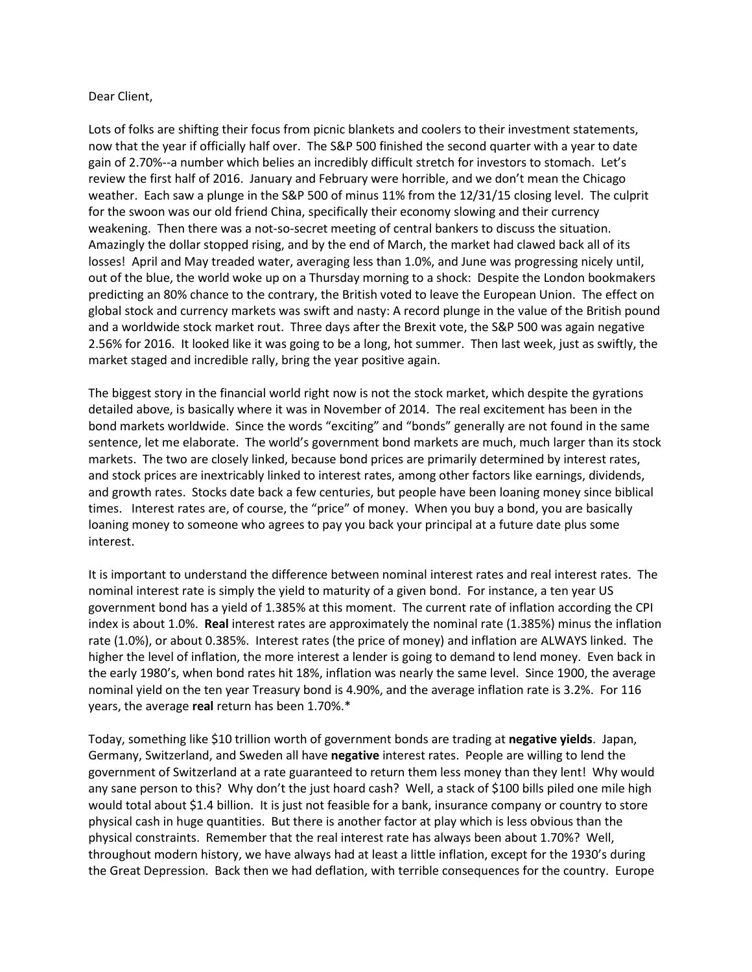## Dear Client,

Lots of folks are shifting their focus from picnic blankets and coolers to their investment statements, now that the year if officially half over. The S&P 500 finished the second quarter with a year to date gain of 2.70%--a number which belies an incredibly difficult stretch for investors to stomach. Let's review the first half of 2016. January and February were horrible, and we don't mean the Chicago weather. Each saw a plunge in the S&P 500 of minus 11% from the 12/31/15 closing level. The culprit for the swoon was our old friend China, specifically their economy slowing and their currency weakening. Then there was a not-so-secret meeting of central bankers to discuss the situation. Amazingly the dollar stopped rising, and by the end of March, the market had clawed back all of its losses! April and May treaded water, averaging less than 1.0%, and June was progressing nicely until, out of the blue, the world woke up on a Thursday morning to a shock: Despite the London bookmakers predicting an 80% chance to the contrary, the British voted to leave the European Union. The effect on global stock and currency markets was swift and nasty: A record plunge in the value of the British pound and a worldwide stock market rout. Three days after the Brexit vote, the S&P 500 was again negative 2.56% for 2016. It looked like it was going to be a long, hot summer. Then last week, just as swiftly, the market staged and incredible rally, bring the year positive again.

The biggest story in the financial world right now is not the stock market, which despite the gyrations detailed above, is basically where it was in November of 2014. The real excitement has been in the bond markets worldwide. Since the words "exciting" and "bonds" generally are not found in the same sentence, let me elaborate. The world's government bond markets are much, much larger than its stock markets. The two are closely linked, because bond prices are primarily determined by interest rates, and stock prices are inextricably linked to interest rates, among other factors like earnings, dividends, and growth rates. Stocks date back a few centuries, but people have been loaning money since biblical times. Interest rates are, of course, the "price" of money. When you buy a bond, you are basically loaning money to someone who agrees to pay you back your principal at a future date plus some interest.

It is important to understand the difference between nominal interest rates and real interest rates. The nominal interest rate is simply the yield to maturity of a given bond. For instance, a ten year US government bond has a yield of 1.385% at this moment. The current rate of inflation according the CPI index is about 1.0%. **Real** interest rates are approximately the nominal rate (1.385%) minus the inflation rate (1.0%), or about 0.385%. Interest rates (the price of money) and inflation are ALWAYS linked. The higher the level of inflation, the more interest a lender is going to demand to lend money. Even back in the early 1980's, when bond rates hit 18%, inflation was nearly the same level. Since 1900, the average nominal yield on the ten year Treasury bond is 4.90%, and the average inflation rate is 3.2%. For 116 years, the average **real** return has been 1.70%.\*

Today, something like \$10 trillion worth of government bonds are trading at **negative yields**. Japan, Germany, Switzerland, and Sweden all have **negative** interest rates. People are willing to lend the government of Switzerland at a rate guaranteed to return them less money than they lent! Why would any sane person to this? Why don't the just hoard cash? Well, a stack of \$100 bills piled one mile high would total about \$1.4 billion. It is just not feasible for a bank, insurance company or country to store physical cash in huge quantities. But there is another factor at play which is less obvious than the physical constraints. Remember that the real interest rate has always been about 1.70%? Well, throughout modern history, we have always had at least a little inflation, except for the 1930's during the Great Depression. Back then we had deflation, with terrible consequences for the country. Europe